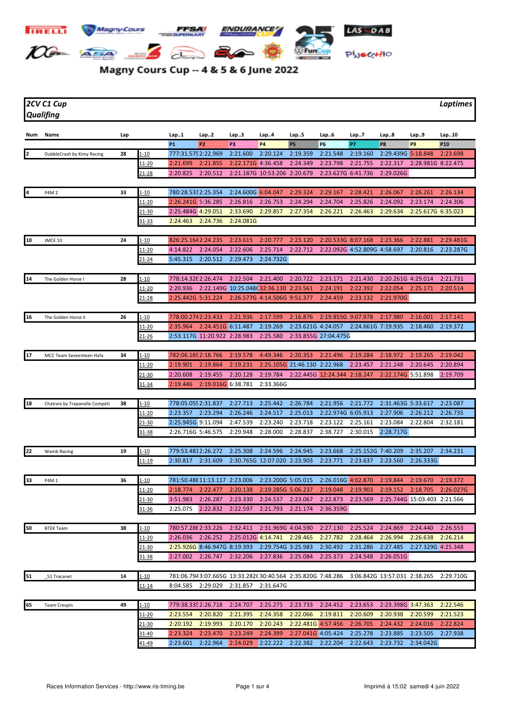

## Magny Cours Cup -- 4 & 5 & 6 June 2022

*2CV C1 Cup Laptimes Qualifing*

| <b>P1</b><br>P <sub>3</sub><br><b>P4</b><br><b>P5</b><br><b>P6</b><br>P7<br>P <sub>2</sub><br>P8<br>P <sub>9</sub><br>P <sub>10</sub><br>777:31.5752:22.969<br>2:21.600<br>2:20.124<br>2:19.359<br>2:21.548<br>2:19.160<br>2:29.439G 5:18.848<br>2<br>28<br>1-10<br>2:23.698<br>DubbleCrash by Kimy Racing<br>2:21.855<br>2:22.171G 4:36.458<br>2:24.349<br>2:23.798<br>2:21.755<br>2:22.317<br><u> 11-20</u><br>2:21.699<br>2:28.981G 8:22.475<br>2:20.825<br>2:20.512<br>2:21.187G 10:53.206 2:20.679<br>2:23.627G 6:41.736<br>2:29.026G<br>21-28<br>$1 - 10$<br>780:28.5332:25.354<br>2:24.600G 6:04.047<br>2:29.324<br>2:29.167<br>2:28.421<br>2:26.067<br>2:26.261<br>P4M 2<br>33<br>2:26.134<br>11-20<br>2:26.241G 5:36.285<br>2:26.816<br>2:26.753<br>2:24.294<br>2:24.704<br>2:25.826<br>2:24.092<br>2:23.174<br>2:24.306<br>2:25.484G 4:29.051<br>2:33.690<br>2:29.857<br>2:27.354<br>2:26.221<br>2:26.463<br>2:29.634<br>2:25.617G 6:35.023<br>21-30<br>2:24.463 2:24.736<br>2:24.081G<br>31-33<br>10<br>826:25.1642:24.235<br>2:23.615<br>2:23.120<br>24<br>1-10<br>2:20.777<br>2:20.533G 8:07.168<br>2:23.366<br>2:22.881<br>2:29.481G<br>JMCE 10<br>2:25.714<br>2:22.712<br>11-20<br>4:14.822<br>2:24.054<br>2:22.606<br>2:22.092G 4:52.809G 4:58.697<br>2:20.816<br>2:23.287G<br>5:45.315<br>2:20.512<br>2:29.473<br>2:24.732G<br>21-24<br>14<br>778:14.326 2:26.474<br>2:22.504<br>2:21.400<br>2:23.171<br>28<br><u>1-10</u><br>2:20.722<br>2:21.430<br>2:20.261G 4:29.014<br>2:21.731<br>The Golden Horse I<br>2:22.149G 10:25.048C32:36.130 2:23.561<br>2:24.191<br>2:22.392<br>2:22.054<br><u> 11-20</u><br>2:20.936<br>2:25.171<br>2:20.514<br><u>21-28</u><br>2:25.442G 5:31.224<br>2:26.577G 4:14.506G 9:51.377<br>2:24.459<br>2:23.132<br>2:21.970G<br>16<br>26<br>778:00.2742:23.433<br>2:17.599<br><u>1-10</u><br>2:21.936<br>2:16.876<br>2:19.855G 9:07.978<br>2:17.980<br>2:17.141<br>The Golden Horse II<br>2:16.001<br>2:35.964 2:24.451G 6:11.487<br>2:19.269<br>2:23.621G 4:24.057 2:24.661G 7:19.935<br>2:19.372<br>11-20<br>2:18.460<br>2:53.117G 11:20.922 2:28.983<br>2:25.580<br>2:33.855G 27:04.475G<br>21-26<br>17<br>782:06.169 2:18.766<br>2:19.578<br>4:49.346<br>2:20.353<br>2:21.496<br>34<br>1-10<br>2:19.284<br>2:18.972<br>2:19.265<br>2:19.042<br>MCC Team Seveenteen Hafa<br>2:19.864<br>2:19.231<br>2:25.105G 21:46.130 2:22.968<br>2:23.457<br>2:21.248<br>2:20.645<br>2:20.894<br>11-20<br>2:19.901<br>2:20.608<br>2:19.455<br>2:20.128<br>2:19.784<br>2:22.445G 12:24.344 2:18.247<br>2:22.174G 5:51.898<br>2:19.709<br>21-30<br>2:19.016G 6:38.781<br>2:33.366G<br>2:19.446<br>31-34<br>778:05.059 2:31.837<br>18<br>$1 - 10$<br>2:27.713<br>2:25.442<br>2:26.784<br>2:21.956<br>2:21.772<br>2:31.463G 5:33.617<br>2:23.087<br>Chatreix by Trapanelle Compéti<br>38<br>2:23.357<br>2:23.294<br>2:26.246<br>2:24.517<br>2:25.013<br>2:22.974G 6:05.913<br>2:27.906<br><u> 11-20</u><br>2:26.212<br>2:26.735<br>2:25.945G 9:11.094<br>2:47.539<br>2:23.240<br>2:23.718<br>2:23.122<br>2:25.161<br>2:23.084<br>2:22.804<br><u>21-30</u><br>2:32.181<br>2:38.727<br>2:26.716G 5:46.575<br>2:29.948<br>2:28.000<br>2:28.837<br>2:30.015<br>2:28.717G<br>31-38<br>22<br>779:53.4812:26.272<br>2:25.308<br>2:24.596<br>2:24.945<br>2:23.668<br>2:25.152G 7:40.209<br>2:35.207<br>2:34.231<br>19<br>$1 - 10$<br>Wamb Racing<br>2:30.817<br>2:31.609<br>2:30.765G 12:07.020 2:23.903<br>2:23.771<br>2:23.637<br>2:23.560<br>2:26.333G<br>11-19<br>781:50.488 11:13.117 2:23.006<br>2:23.200G 5:05.015<br>33<br>2:26.016G 4:02.870<br>2:19.844<br>2:19.670<br>2:19.372<br>36<br>1-10<br>P4M 1<br>2:20.138<br>2:19.285G 5:06.237<br>2:19.048<br><u> 11-20</u><br>2:18.774<br>2:22.477<br>2:19.903<br>2:19.152<br>2:18.705<br>2:26.027G<br>2:23.569<br>21-30<br>3:51.983<br>2:26.287<br>2:23.330<br>2:24.537<br>2:23.067<br>2:22.873<br>2:25.744G 15:03.403 2:21.566<br>2:22.597<br>2:21.793<br>2:21.174<br>2:36.359G<br>2:25.075<br>2:22.832<br>$31 - 36$<br>50<br>$1 - 10$<br>780:57.286 2:33.226<br>2:32.411<br>2:31.969G 4:04.590<br>2:27.130<br>2:25.524<br>2:24.869<br>2:24.440<br>2:26.553<br>38<br><b>BTEK Team</b><br>2:25.012G 4:14.741<br>2:28.465<br>2:27.782<br>2:26.994<br>11-20<br>2:26.036<br>2:26.252<br>2:28.464<br>2:26.638<br>2:26.214<br>2:25.926G 8:46.947G 8:19.393<br>2:29.754G 3:25.983<br>2:30.492<br>2:31.286<br>2:27.485<br>2:27.329G 4:25.348<br>21-30<br>2:27.002 2:26.747 2:32.206<br>2:27.836 2:25.084<br>2:25.373<br>2:24.548<br>2:26.051G<br>31-38<br>51<br>781:06.7943:07.665G 13:33.282C30:40.564 2:35.820G 7:48.286<br>3:06.842G 13:57.031 2:38.265<br>14<br>1-10<br>2:29.710G<br>51 Tracanet<br>8:04.585<br>2:29.029<br>2:31.857<br>2:31.647G<br>11-14 | 65<br>49<br>$1 - 10$<br>779:38.335 2:26.718<br>2:24.707<br>2:25.275<br>2:23.733<br>2:24.452<br>2:23.653<br>2:23.398G 3:47.363<br>2:22.546<br><b>Team Crespin</b><br>2:20.820<br>2:21.395<br>2:24.358<br>2:22.066<br>2:19.811<br>2:20.938<br>2:21.523<br><u> 11-20</u><br>2:23.554<br>2:20.609<br>2:20.599<br>2:20.192<br>2:19.993<br>2:20.170<br>2:20.243<br>2:22.481G 4:57.456<br>2:26.705<br>2:22.824<br>21-30<br>2:24.432<br>2:24.016<br>2:23.470<br>2:23.249<br>2:24.399<br>2:27.041G 4:05.424<br>2:25.278<br>2:23.885<br>2:23.505<br>2:27.938<br>31-40<br>2:23.324 | Num | Name | Lap | Lap1 | Lap2 | Lap3 | Lap4 | Lap5 | Lap6 | Lap7 | Lap8 | Lap9 | Lap10 |
|--------------------------------------------------------------------------------------------------------------------------------------------------------------------------------------------------------------------------------------------------------------------------------------------------------------------------------------------------------------------------------------------------------------------------------------------------------------------------------------------------------------------------------------------------------------------------------------------------------------------------------------------------------------------------------------------------------------------------------------------------------------------------------------------------------------------------------------------------------------------------------------------------------------------------------------------------------------------------------------------------------------------------------------------------------------------------------------------------------------------------------------------------------------------------------------------------------------------------------------------------------------------------------------------------------------------------------------------------------------------------------------------------------------------------------------------------------------------------------------------------------------------------------------------------------------------------------------------------------------------------------------------------------------------------------------------------------------------------------------------------------------------------------------------------------------------------------------------------------------------------------------------------------------------------------------------------------------------------------------------------------------------------------------------------------------------------------------------------------------------------------------------------------------------------------------------------------------------------------------------------------------------------------------------------------------------------------------------------------------------------------------------------------------------------------------------------------------------------------------------------------------------------------------------------------------------------------------------------------------------------------------------------------------------------------------------------------------------------------------------------------------------------------------------------------------------------------------------------------------------------------------------------------------------------------------------------------------------------------------------------------------------------------------------------------------------------------------------------------------------------------------------------------------------------------------------------------------------------------------------------------------------------------------------------------------------------------------------------------------------------------------------------------------------------------------------------------------------------------------------------------------------------------------------------------------------------------------------------------------------------------------------------------------------------------------------------------------------------------------------------------------------------------------------------------------------------------------------------------------------------------------------------------------------------------------------------------------------------------------------------------------------------------------------------------------------------------------------------------------------------------------------------------------------------------------------------------------------------------------------------------------------------------------------------------------------------------------------------------------------------------------------------------------------------------------------------------------------------------------------------------------------------------------------------------------------------------------------------------------------------------------------------------------------------------------------------------------------------------------|-------------------------------------------------------------------------------------------------------------------------------------------------------------------------------------------------------------------------------------------------------------------------------------------------------------------------------------------------------------------------------------------------------------------------------------------------------------------------------------------------------------------------------------------------------------------------|-----|------|-----|------|------|------|------|------|------|------|------|------|-------|
|                                                                                                                                                                                                                                                                                                                                                                                                                                                                                                                                                                                                                                                                                                                                                                                                                                                                                                                                                                                                                                                                                                                                                                                                                                                                                                                                                                                                                                                                                                                                                                                                                                                                                                                                                                                                                                                                                                                                                                                                                                                                                                                                                                                                                                                                                                                                                                                                                                                                                                                                                                                                                                                                                                                                                                                                                                                                                                                                                                                                                                                                                                                                                                                                                                                                                                                                                                                                                                                                                                                                                                                                                                                                                                                                                                                                                                                                                                                                                                                                                                                                                                                                                                                                                                                                                                                                                                                                                                                                                                                                                                                                                                                                                                                                      |                                                                                                                                                                                                                                                                                                                                                                                                                                                                                                                                                                         |     |      |     |      |      |      |      |      |      |      |      |      |       |
|                                                                                                                                                                                                                                                                                                                                                                                                                                                                                                                                                                                                                                                                                                                                                                                                                                                                                                                                                                                                                                                                                                                                                                                                                                                                                                                                                                                                                                                                                                                                                                                                                                                                                                                                                                                                                                                                                                                                                                                                                                                                                                                                                                                                                                                                                                                                                                                                                                                                                                                                                                                                                                                                                                                                                                                                                                                                                                                                                                                                                                                                                                                                                                                                                                                                                                                                                                                                                                                                                                                                                                                                                                                                                                                                                                                                                                                                                                                                                                                                                                                                                                                                                                                                                                                                                                                                                                                                                                                                                                                                                                                                                                                                                                                                      |                                                                                                                                                                                                                                                                                                                                                                                                                                                                                                                                                                         |     |      |     |      |      |      |      |      |      |      |      |      |       |
|                                                                                                                                                                                                                                                                                                                                                                                                                                                                                                                                                                                                                                                                                                                                                                                                                                                                                                                                                                                                                                                                                                                                                                                                                                                                                                                                                                                                                                                                                                                                                                                                                                                                                                                                                                                                                                                                                                                                                                                                                                                                                                                                                                                                                                                                                                                                                                                                                                                                                                                                                                                                                                                                                                                                                                                                                                                                                                                                                                                                                                                                                                                                                                                                                                                                                                                                                                                                                                                                                                                                                                                                                                                                                                                                                                                                                                                                                                                                                                                                                                                                                                                                                                                                                                                                                                                                                                                                                                                                                                                                                                                                                                                                                                                                      |                                                                                                                                                                                                                                                                                                                                                                                                                                                                                                                                                                         |     |      |     |      |      |      |      |      |      |      |      |      |       |
|                                                                                                                                                                                                                                                                                                                                                                                                                                                                                                                                                                                                                                                                                                                                                                                                                                                                                                                                                                                                                                                                                                                                                                                                                                                                                                                                                                                                                                                                                                                                                                                                                                                                                                                                                                                                                                                                                                                                                                                                                                                                                                                                                                                                                                                                                                                                                                                                                                                                                                                                                                                                                                                                                                                                                                                                                                                                                                                                                                                                                                                                                                                                                                                                                                                                                                                                                                                                                                                                                                                                                                                                                                                                                                                                                                                                                                                                                                                                                                                                                                                                                                                                                                                                                                                                                                                                                                                                                                                                                                                                                                                                                                                                                                                                      |                                                                                                                                                                                                                                                                                                                                                                                                                                                                                                                                                                         |     |      |     |      |      |      |      |      |      |      |      |      |       |
|                                                                                                                                                                                                                                                                                                                                                                                                                                                                                                                                                                                                                                                                                                                                                                                                                                                                                                                                                                                                                                                                                                                                                                                                                                                                                                                                                                                                                                                                                                                                                                                                                                                                                                                                                                                                                                                                                                                                                                                                                                                                                                                                                                                                                                                                                                                                                                                                                                                                                                                                                                                                                                                                                                                                                                                                                                                                                                                                                                                                                                                                                                                                                                                                                                                                                                                                                                                                                                                                                                                                                                                                                                                                                                                                                                                                                                                                                                                                                                                                                                                                                                                                                                                                                                                                                                                                                                                                                                                                                                                                                                                                                                                                                                                                      |                                                                                                                                                                                                                                                                                                                                                                                                                                                                                                                                                                         |     |      |     |      |      |      |      |      |      |      |      |      |       |
|                                                                                                                                                                                                                                                                                                                                                                                                                                                                                                                                                                                                                                                                                                                                                                                                                                                                                                                                                                                                                                                                                                                                                                                                                                                                                                                                                                                                                                                                                                                                                                                                                                                                                                                                                                                                                                                                                                                                                                                                                                                                                                                                                                                                                                                                                                                                                                                                                                                                                                                                                                                                                                                                                                                                                                                                                                                                                                                                                                                                                                                                                                                                                                                                                                                                                                                                                                                                                                                                                                                                                                                                                                                                                                                                                                                                                                                                                                                                                                                                                                                                                                                                                                                                                                                                                                                                                                                                                                                                                                                                                                                                                                                                                                                                      |                                                                                                                                                                                                                                                                                                                                                                                                                                                                                                                                                                         |     |      |     |      |      |      |      |      |      |      |      |      |       |
|                                                                                                                                                                                                                                                                                                                                                                                                                                                                                                                                                                                                                                                                                                                                                                                                                                                                                                                                                                                                                                                                                                                                                                                                                                                                                                                                                                                                                                                                                                                                                                                                                                                                                                                                                                                                                                                                                                                                                                                                                                                                                                                                                                                                                                                                                                                                                                                                                                                                                                                                                                                                                                                                                                                                                                                                                                                                                                                                                                                                                                                                                                                                                                                                                                                                                                                                                                                                                                                                                                                                                                                                                                                                                                                                                                                                                                                                                                                                                                                                                                                                                                                                                                                                                                                                                                                                                                                                                                                                                                                                                                                                                                                                                                                                      |                                                                                                                                                                                                                                                                                                                                                                                                                                                                                                                                                                         |     |      |     |      |      |      |      |      |      |      |      |      |       |
|                                                                                                                                                                                                                                                                                                                                                                                                                                                                                                                                                                                                                                                                                                                                                                                                                                                                                                                                                                                                                                                                                                                                                                                                                                                                                                                                                                                                                                                                                                                                                                                                                                                                                                                                                                                                                                                                                                                                                                                                                                                                                                                                                                                                                                                                                                                                                                                                                                                                                                                                                                                                                                                                                                                                                                                                                                                                                                                                                                                                                                                                                                                                                                                                                                                                                                                                                                                                                                                                                                                                                                                                                                                                                                                                                                                                                                                                                                                                                                                                                                                                                                                                                                                                                                                                                                                                                                                                                                                                                                                                                                                                                                                                                                                                      |                                                                                                                                                                                                                                                                                                                                                                                                                                                                                                                                                                         |     |      |     |      |      |      |      |      |      |      |      |      |       |
|                                                                                                                                                                                                                                                                                                                                                                                                                                                                                                                                                                                                                                                                                                                                                                                                                                                                                                                                                                                                                                                                                                                                                                                                                                                                                                                                                                                                                                                                                                                                                                                                                                                                                                                                                                                                                                                                                                                                                                                                                                                                                                                                                                                                                                                                                                                                                                                                                                                                                                                                                                                                                                                                                                                                                                                                                                                                                                                                                                                                                                                                                                                                                                                                                                                                                                                                                                                                                                                                                                                                                                                                                                                                                                                                                                                                                                                                                                                                                                                                                                                                                                                                                                                                                                                                                                                                                                                                                                                                                                                                                                                                                                                                                                                                      |                                                                                                                                                                                                                                                                                                                                                                                                                                                                                                                                                                         |     |      |     |      |      |      |      |      |      |      |      |      |       |
|                                                                                                                                                                                                                                                                                                                                                                                                                                                                                                                                                                                                                                                                                                                                                                                                                                                                                                                                                                                                                                                                                                                                                                                                                                                                                                                                                                                                                                                                                                                                                                                                                                                                                                                                                                                                                                                                                                                                                                                                                                                                                                                                                                                                                                                                                                                                                                                                                                                                                                                                                                                                                                                                                                                                                                                                                                                                                                                                                                                                                                                                                                                                                                                                                                                                                                                                                                                                                                                                                                                                                                                                                                                                                                                                                                                                                                                                                                                                                                                                                                                                                                                                                                                                                                                                                                                                                                                                                                                                                                                                                                                                                                                                                                                                      |                                                                                                                                                                                                                                                                                                                                                                                                                                                                                                                                                                         |     |      |     |      |      |      |      |      |      |      |      |      |       |
|                                                                                                                                                                                                                                                                                                                                                                                                                                                                                                                                                                                                                                                                                                                                                                                                                                                                                                                                                                                                                                                                                                                                                                                                                                                                                                                                                                                                                                                                                                                                                                                                                                                                                                                                                                                                                                                                                                                                                                                                                                                                                                                                                                                                                                                                                                                                                                                                                                                                                                                                                                                                                                                                                                                                                                                                                                                                                                                                                                                                                                                                                                                                                                                                                                                                                                                                                                                                                                                                                                                                                                                                                                                                                                                                                                                                                                                                                                                                                                                                                                                                                                                                                                                                                                                                                                                                                                                                                                                                                                                                                                                                                                                                                                                                      |                                                                                                                                                                                                                                                                                                                                                                                                                                                                                                                                                                         |     |      |     |      |      |      |      |      |      |      |      |      |       |
|                                                                                                                                                                                                                                                                                                                                                                                                                                                                                                                                                                                                                                                                                                                                                                                                                                                                                                                                                                                                                                                                                                                                                                                                                                                                                                                                                                                                                                                                                                                                                                                                                                                                                                                                                                                                                                                                                                                                                                                                                                                                                                                                                                                                                                                                                                                                                                                                                                                                                                                                                                                                                                                                                                                                                                                                                                                                                                                                                                                                                                                                                                                                                                                                                                                                                                                                                                                                                                                                                                                                                                                                                                                                                                                                                                                                                                                                                                                                                                                                                                                                                                                                                                                                                                                                                                                                                                                                                                                                                                                                                                                                                                                                                                                                      |                                                                                                                                                                                                                                                                                                                                                                                                                                                                                                                                                                         |     |      |     |      |      |      |      |      |      |      |      |      |       |
|                                                                                                                                                                                                                                                                                                                                                                                                                                                                                                                                                                                                                                                                                                                                                                                                                                                                                                                                                                                                                                                                                                                                                                                                                                                                                                                                                                                                                                                                                                                                                                                                                                                                                                                                                                                                                                                                                                                                                                                                                                                                                                                                                                                                                                                                                                                                                                                                                                                                                                                                                                                                                                                                                                                                                                                                                                                                                                                                                                                                                                                                                                                                                                                                                                                                                                                                                                                                                                                                                                                                                                                                                                                                                                                                                                                                                                                                                                                                                                                                                                                                                                                                                                                                                                                                                                                                                                                                                                                                                                                                                                                                                                                                                                                                      |                                                                                                                                                                                                                                                                                                                                                                                                                                                                                                                                                                         |     |      |     |      |      |      |      |      |      |      |      |      |       |
|                                                                                                                                                                                                                                                                                                                                                                                                                                                                                                                                                                                                                                                                                                                                                                                                                                                                                                                                                                                                                                                                                                                                                                                                                                                                                                                                                                                                                                                                                                                                                                                                                                                                                                                                                                                                                                                                                                                                                                                                                                                                                                                                                                                                                                                                                                                                                                                                                                                                                                                                                                                                                                                                                                                                                                                                                                                                                                                                                                                                                                                                                                                                                                                                                                                                                                                                                                                                                                                                                                                                                                                                                                                                                                                                                                                                                                                                                                                                                                                                                                                                                                                                                                                                                                                                                                                                                                                                                                                                                                                                                                                                                                                                                                                                      |                                                                                                                                                                                                                                                                                                                                                                                                                                                                                                                                                                         |     |      |     |      |      |      |      |      |      |      |      |      |       |
|                                                                                                                                                                                                                                                                                                                                                                                                                                                                                                                                                                                                                                                                                                                                                                                                                                                                                                                                                                                                                                                                                                                                                                                                                                                                                                                                                                                                                                                                                                                                                                                                                                                                                                                                                                                                                                                                                                                                                                                                                                                                                                                                                                                                                                                                                                                                                                                                                                                                                                                                                                                                                                                                                                                                                                                                                                                                                                                                                                                                                                                                                                                                                                                                                                                                                                                                                                                                                                                                                                                                                                                                                                                                                                                                                                                                                                                                                                                                                                                                                                                                                                                                                                                                                                                                                                                                                                                                                                                                                                                                                                                                                                                                                                                                      |                                                                                                                                                                                                                                                                                                                                                                                                                                                                                                                                                                         |     |      |     |      |      |      |      |      |      |      |      |      |       |
|                                                                                                                                                                                                                                                                                                                                                                                                                                                                                                                                                                                                                                                                                                                                                                                                                                                                                                                                                                                                                                                                                                                                                                                                                                                                                                                                                                                                                                                                                                                                                                                                                                                                                                                                                                                                                                                                                                                                                                                                                                                                                                                                                                                                                                                                                                                                                                                                                                                                                                                                                                                                                                                                                                                                                                                                                                                                                                                                                                                                                                                                                                                                                                                                                                                                                                                                                                                                                                                                                                                                                                                                                                                                                                                                                                                                                                                                                                                                                                                                                                                                                                                                                                                                                                                                                                                                                                                                                                                                                                                                                                                                                                                                                                                                      |                                                                                                                                                                                                                                                                                                                                                                                                                                                                                                                                                                         |     |      |     |      |      |      |      |      |      |      |      |      |       |
|                                                                                                                                                                                                                                                                                                                                                                                                                                                                                                                                                                                                                                                                                                                                                                                                                                                                                                                                                                                                                                                                                                                                                                                                                                                                                                                                                                                                                                                                                                                                                                                                                                                                                                                                                                                                                                                                                                                                                                                                                                                                                                                                                                                                                                                                                                                                                                                                                                                                                                                                                                                                                                                                                                                                                                                                                                                                                                                                                                                                                                                                                                                                                                                                                                                                                                                                                                                                                                                                                                                                                                                                                                                                                                                                                                                                                                                                                                                                                                                                                                                                                                                                                                                                                                                                                                                                                                                                                                                                                                                                                                                                                                                                                                                                      |                                                                                                                                                                                                                                                                                                                                                                                                                                                                                                                                                                         |     |      |     |      |      |      |      |      |      |      |      |      |       |
|                                                                                                                                                                                                                                                                                                                                                                                                                                                                                                                                                                                                                                                                                                                                                                                                                                                                                                                                                                                                                                                                                                                                                                                                                                                                                                                                                                                                                                                                                                                                                                                                                                                                                                                                                                                                                                                                                                                                                                                                                                                                                                                                                                                                                                                                                                                                                                                                                                                                                                                                                                                                                                                                                                                                                                                                                                                                                                                                                                                                                                                                                                                                                                                                                                                                                                                                                                                                                                                                                                                                                                                                                                                                                                                                                                                                                                                                                                                                                                                                                                                                                                                                                                                                                                                                                                                                                                                                                                                                                                                                                                                                                                                                                                                                      |                                                                                                                                                                                                                                                                                                                                                                                                                                                                                                                                                                         |     |      |     |      |      |      |      |      |      |      |      |      |       |
|                                                                                                                                                                                                                                                                                                                                                                                                                                                                                                                                                                                                                                                                                                                                                                                                                                                                                                                                                                                                                                                                                                                                                                                                                                                                                                                                                                                                                                                                                                                                                                                                                                                                                                                                                                                                                                                                                                                                                                                                                                                                                                                                                                                                                                                                                                                                                                                                                                                                                                                                                                                                                                                                                                                                                                                                                                                                                                                                                                                                                                                                                                                                                                                                                                                                                                                                                                                                                                                                                                                                                                                                                                                                                                                                                                                                                                                                                                                                                                                                                                                                                                                                                                                                                                                                                                                                                                                                                                                                                                                                                                                                                                                                                                                                      |                                                                                                                                                                                                                                                                                                                                                                                                                                                                                                                                                                         |     |      |     |      |      |      |      |      |      |      |      |      |       |
|                                                                                                                                                                                                                                                                                                                                                                                                                                                                                                                                                                                                                                                                                                                                                                                                                                                                                                                                                                                                                                                                                                                                                                                                                                                                                                                                                                                                                                                                                                                                                                                                                                                                                                                                                                                                                                                                                                                                                                                                                                                                                                                                                                                                                                                                                                                                                                                                                                                                                                                                                                                                                                                                                                                                                                                                                                                                                                                                                                                                                                                                                                                                                                                                                                                                                                                                                                                                                                                                                                                                                                                                                                                                                                                                                                                                                                                                                                                                                                                                                                                                                                                                                                                                                                                                                                                                                                                                                                                                                                                                                                                                                                                                                                                                      |                                                                                                                                                                                                                                                                                                                                                                                                                                                                                                                                                                         |     |      |     |      |      |      |      |      |      |      |      |      |       |
|                                                                                                                                                                                                                                                                                                                                                                                                                                                                                                                                                                                                                                                                                                                                                                                                                                                                                                                                                                                                                                                                                                                                                                                                                                                                                                                                                                                                                                                                                                                                                                                                                                                                                                                                                                                                                                                                                                                                                                                                                                                                                                                                                                                                                                                                                                                                                                                                                                                                                                                                                                                                                                                                                                                                                                                                                                                                                                                                                                                                                                                                                                                                                                                                                                                                                                                                                                                                                                                                                                                                                                                                                                                                                                                                                                                                                                                                                                                                                                                                                                                                                                                                                                                                                                                                                                                                                                                                                                                                                                                                                                                                                                                                                                                                      |                                                                                                                                                                                                                                                                                                                                                                                                                                                                                                                                                                         |     |      |     |      |      |      |      |      |      |      |      |      |       |
|                                                                                                                                                                                                                                                                                                                                                                                                                                                                                                                                                                                                                                                                                                                                                                                                                                                                                                                                                                                                                                                                                                                                                                                                                                                                                                                                                                                                                                                                                                                                                                                                                                                                                                                                                                                                                                                                                                                                                                                                                                                                                                                                                                                                                                                                                                                                                                                                                                                                                                                                                                                                                                                                                                                                                                                                                                                                                                                                                                                                                                                                                                                                                                                                                                                                                                                                                                                                                                                                                                                                                                                                                                                                                                                                                                                                                                                                                                                                                                                                                                                                                                                                                                                                                                                                                                                                                                                                                                                                                                                                                                                                                                                                                                                                      |                                                                                                                                                                                                                                                                                                                                                                                                                                                                                                                                                                         |     |      |     |      |      |      |      |      |      |      |      |      |       |
|                                                                                                                                                                                                                                                                                                                                                                                                                                                                                                                                                                                                                                                                                                                                                                                                                                                                                                                                                                                                                                                                                                                                                                                                                                                                                                                                                                                                                                                                                                                                                                                                                                                                                                                                                                                                                                                                                                                                                                                                                                                                                                                                                                                                                                                                                                                                                                                                                                                                                                                                                                                                                                                                                                                                                                                                                                                                                                                                                                                                                                                                                                                                                                                                                                                                                                                                                                                                                                                                                                                                                                                                                                                                                                                                                                                                                                                                                                                                                                                                                                                                                                                                                                                                                                                                                                                                                                                                                                                                                                                                                                                                                                                                                                                                      |                                                                                                                                                                                                                                                                                                                                                                                                                                                                                                                                                                         |     |      |     |      |      |      |      |      |      |      |      |      |       |
|                                                                                                                                                                                                                                                                                                                                                                                                                                                                                                                                                                                                                                                                                                                                                                                                                                                                                                                                                                                                                                                                                                                                                                                                                                                                                                                                                                                                                                                                                                                                                                                                                                                                                                                                                                                                                                                                                                                                                                                                                                                                                                                                                                                                                                                                                                                                                                                                                                                                                                                                                                                                                                                                                                                                                                                                                                                                                                                                                                                                                                                                                                                                                                                                                                                                                                                                                                                                                                                                                                                                                                                                                                                                                                                                                                                                                                                                                                                                                                                                                                                                                                                                                                                                                                                                                                                                                                                                                                                                                                                                                                                                                                                                                                                                      |                                                                                                                                                                                                                                                                                                                                                                                                                                                                                                                                                                         |     |      |     |      |      |      |      |      |      |      |      |      |       |
|                                                                                                                                                                                                                                                                                                                                                                                                                                                                                                                                                                                                                                                                                                                                                                                                                                                                                                                                                                                                                                                                                                                                                                                                                                                                                                                                                                                                                                                                                                                                                                                                                                                                                                                                                                                                                                                                                                                                                                                                                                                                                                                                                                                                                                                                                                                                                                                                                                                                                                                                                                                                                                                                                                                                                                                                                                                                                                                                                                                                                                                                                                                                                                                                                                                                                                                                                                                                                                                                                                                                                                                                                                                                                                                                                                                                                                                                                                                                                                                                                                                                                                                                                                                                                                                                                                                                                                                                                                                                                                                                                                                                                                                                                                                                      |                                                                                                                                                                                                                                                                                                                                                                                                                                                                                                                                                                         |     |      |     |      |      |      |      |      |      |      |      |      |       |
|                                                                                                                                                                                                                                                                                                                                                                                                                                                                                                                                                                                                                                                                                                                                                                                                                                                                                                                                                                                                                                                                                                                                                                                                                                                                                                                                                                                                                                                                                                                                                                                                                                                                                                                                                                                                                                                                                                                                                                                                                                                                                                                                                                                                                                                                                                                                                                                                                                                                                                                                                                                                                                                                                                                                                                                                                                                                                                                                                                                                                                                                                                                                                                                                                                                                                                                                                                                                                                                                                                                                                                                                                                                                                                                                                                                                                                                                                                                                                                                                                                                                                                                                                                                                                                                                                                                                                                                                                                                                                                                                                                                                                                                                                                                                      |                                                                                                                                                                                                                                                                                                                                                                                                                                                                                                                                                                         |     |      |     |      |      |      |      |      |      |      |      |      |       |
|                                                                                                                                                                                                                                                                                                                                                                                                                                                                                                                                                                                                                                                                                                                                                                                                                                                                                                                                                                                                                                                                                                                                                                                                                                                                                                                                                                                                                                                                                                                                                                                                                                                                                                                                                                                                                                                                                                                                                                                                                                                                                                                                                                                                                                                                                                                                                                                                                                                                                                                                                                                                                                                                                                                                                                                                                                                                                                                                                                                                                                                                                                                                                                                                                                                                                                                                                                                                                                                                                                                                                                                                                                                                                                                                                                                                                                                                                                                                                                                                                                                                                                                                                                                                                                                                                                                                                                                                                                                                                                                                                                                                                                                                                                                                      |                                                                                                                                                                                                                                                                                                                                                                                                                                                                                                                                                                         |     |      |     |      |      |      |      |      |      |      |      |      |       |
|                                                                                                                                                                                                                                                                                                                                                                                                                                                                                                                                                                                                                                                                                                                                                                                                                                                                                                                                                                                                                                                                                                                                                                                                                                                                                                                                                                                                                                                                                                                                                                                                                                                                                                                                                                                                                                                                                                                                                                                                                                                                                                                                                                                                                                                                                                                                                                                                                                                                                                                                                                                                                                                                                                                                                                                                                                                                                                                                                                                                                                                                                                                                                                                                                                                                                                                                                                                                                                                                                                                                                                                                                                                                                                                                                                                                                                                                                                                                                                                                                                                                                                                                                                                                                                                                                                                                                                                                                                                                                                                                                                                                                                                                                                                                      |                                                                                                                                                                                                                                                                                                                                                                                                                                                                                                                                                                         |     |      |     |      |      |      |      |      |      |      |      |      |       |
|                                                                                                                                                                                                                                                                                                                                                                                                                                                                                                                                                                                                                                                                                                                                                                                                                                                                                                                                                                                                                                                                                                                                                                                                                                                                                                                                                                                                                                                                                                                                                                                                                                                                                                                                                                                                                                                                                                                                                                                                                                                                                                                                                                                                                                                                                                                                                                                                                                                                                                                                                                                                                                                                                                                                                                                                                                                                                                                                                                                                                                                                                                                                                                                                                                                                                                                                                                                                                                                                                                                                                                                                                                                                                                                                                                                                                                                                                                                                                                                                                                                                                                                                                                                                                                                                                                                                                                                                                                                                                                                                                                                                                                                                                                                                      |                                                                                                                                                                                                                                                                                                                                                                                                                                                                                                                                                                         |     |      |     |      |      |      |      |      |      |      |      |      |       |
|                                                                                                                                                                                                                                                                                                                                                                                                                                                                                                                                                                                                                                                                                                                                                                                                                                                                                                                                                                                                                                                                                                                                                                                                                                                                                                                                                                                                                                                                                                                                                                                                                                                                                                                                                                                                                                                                                                                                                                                                                                                                                                                                                                                                                                                                                                                                                                                                                                                                                                                                                                                                                                                                                                                                                                                                                                                                                                                                                                                                                                                                                                                                                                                                                                                                                                                                                                                                                                                                                                                                                                                                                                                                                                                                                                                                                                                                                                                                                                                                                                                                                                                                                                                                                                                                                                                                                                                                                                                                                                                                                                                                                                                                                                                                      |                                                                                                                                                                                                                                                                                                                                                                                                                                                                                                                                                                         |     |      |     |      |      |      |      |      |      |      |      |      |       |
|                                                                                                                                                                                                                                                                                                                                                                                                                                                                                                                                                                                                                                                                                                                                                                                                                                                                                                                                                                                                                                                                                                                                                                                                                                                                                                                                                                                                                                                                                                                                                                                                                                                                                                                                                                                                                                                                                                                                                                                                                                                                                                                                                                                                                                                                                                                                                                                                                                                                                                                                                                                                                                                                                                                                                                                                                                                                                                                                                                                                                                                                                                                                                                                                                                                                                                                                                                                                                                                                                                                                                                                                                                                                                                                                                                                                                                                                                                                                                                                                                                                                                                                                                                                                                                                                                                                                                                                                                                                                                                                                                                                                                                                                                                                                      |                                                                                                                                                                                                                                                                                                                                                                                                                                                                                                                                                                         |     |      |     |      |      |      |      |      |      |      |      |      |       |
|                                                                                                                                                                                                                                                                                                                                                                                                                                                                                                                                                                                                                                                                                                                                                                                                                                                                                                                                                                                                                                                                                                                                                                                                                                                                                                                                                                                                                                                                                                                                                                                                                                                                                                                                                                                                                                                                                                                                                                                                                                                                                                                                                                                                                                                                                                                                                                                                                                                                                                                                                                                                                                                                                                                                                                                                                                                                                                                                                                                                                                                                                                                                                                                                                                                                                                                                                                                                                                                                                                                                                                                                                                                                                                                                                                                                                                                                                                                                                                                                                                                                                                                                                                                                                                                                                                                                                                                                                                                                                                                                                                                                                                                                                                                                      |                                                                                                                                                                                                                                                                                                                                                                                                                                                                                                                                                                         |     |      |     |      |      |      |      |      |      |      |      |      |       |
|                                                                                                                                                                                                                                                                                                                                                                                                                                                                                                                                                                                                                                                                                                                                                                                                                                                                                                                                                                                                                                                                                                                                                                                                                                                                                                                                                                                                                                                                                                                                                                                                                                                                                                                                                                                                                                                                                                                                                                                                                                                                                                                                                                                                                                                                                                                                                                                                                                                                                                                                                                                                                                                                                                                                                                                                                                                                                                                                                                                                                                                                                                                                                                                                                                                                                                                                                                                                                                                                                                                                                                                                                                                                                                                                                                                                                                                                                                                                                                                                                                                                                                                                                                                                                                                                                                                                                                                                                                                                                                                                                                                                                                                                                                                                      |                                                                                                                                                                                                                                                                                                                                                                                                                                                                                                                                                                         |     |      |     |      |      |      |      |      |      |      |      |      |       |
|                                                                                                                                                                                                                                                                                                                                                                                                                                                                                                                                                                                                                                                                                                                                                                                                                                                                                                                                                                                                                                                                                                                                                                                                                                                                                                                                                                                                                                                                                                                                                                                                                                                                                                                                                                                                                                                                                                                                                                                                                                                                                                                                                                                                                                                                                                                                                                                                                                                                                                                                                                                                                                                                                                                                                                                                                                                                                                                                                                                                                                                                                                                                                                                                                                                                                                                                                                                                                                                                                                                                                                                                                                                                                                                                                                                                                                                                                                                                                                                                                                                                                                                                                                                                                                                                                                                                                                                                                                                                                                                                                                                                                                                                                                                                      |                                                                                                                                                                                                                                                                                                                                                                                                                                                                                                                                                                         |     |      |     |      |      |      |      |      |      |      |      |      |       |
|                                                                                                                                                                                                                                                                                                                                                                                                                                                                                                                                                                                                                                                                                                                                                                                                                                                                                                                                                                                                                                                                                                                                                                                                                                                                                                                                                                                                                                                                                                                                                                                                                                                                                                                                                                                                                                                                                                                                                                                                                                                                                                                                                                                                                                                                                                                                                                                                                                                                                                                                                                                                                                                                                                                                                                                                                                                                                                                                                                                                                                                                                                                                                                                                                                                                                                                                                                                                                                                                                                                                                                                                                                                                                                                                                                                                                                                                                                                                                                                                                                                                                                                                                                                                                                                                                                                                                                                                                                                                                                                                                                                                                                                                                                                                      |                                                                                                                                                                                                                                                                                                                                                                                                                                                                                                                                                                         |     |      |     |      |      |      |      |      |      |      |      |      |       |
|                                                                                                                                                                                                                                                                                                                                                                                                                                                                                                                                                                                                                                                                                                                                                                                                                                                                                                                                                                                                                                                                                                                                                                                                                                                                                                                                                                                                                                                                                                                                                                                                                                                                                                                                                                                                                                                                                                                                                                                                                                                                                                                                                                                                                                                                                                                                                                                                                                                                                                                                                                                                                                                                                                                                                                                                                                                                                                                                                                                                                                                                                                                                                                                                                                                                                                                                                                                                                                                                                                                                                                                                                                                                                                                                                                                                                                                                                                                                                                                                                                                                                                                                                                                                                                                                                                                                                                                                                                                                                                                                                                                                                                                                                                                                      |                                                                                                                                                                                                                                                                                                                                                                                                                                                                                                                                                                         |     |      |     |      |      |      |      |      |      |      |      |      |       |
|                                                                                                                                                                                                                                                                                                                                                                                                                                                                                                                                                                                                                                                                                                                                                                                                                                                                                                                                                                                                                                                                                                                                                                                                                                                                                                                                                                                                                                                                                                                                                                                                                                                                                                                                                                                                                                                                                                                                                                                                                                                                                                                                                                                                                                                                                                                                                                                                                                                                                                                                                                                                                                                                                                                                                                                                                                                                                                                                                                                                                                                                                                                                                                                                                                                                                                                                                                                                                                                                                                                                                                                                                                                                                                                                                                                                                                                                                                                                                                                                                                                                                                                                                                                                                                                                                                                                                                                                                                                                                                                                                                                                                                                                                                                                      |                                                                                                                                                                                                                                                                                                                                                                                                                                                                                                                                                                         |     |      |     |      |      |      |      |      |      |      |      |      |       |
|                                                                                                                                                                                                                                                                                                                                                                                                                                                                                                                                                                                                                                                                                                                                                                                                                                                                                                                                                                                                                                                                                                                                                                                                                                                                                                                                                                                                                                                                                                                                                                                                                                                                                                                                                                                                                                                                                                                                                                                                                                                                                                                                                                                                                                                                                                                                                                                                                                                                                                                                                                                                                                                                                                                                                                                                                                                                                                                                                                                                                                                                                                                                                                                                                                                                                                                                                                                                                                                                                                                                                                                                                                                                                                                                                                                                                                                                                                                                                                                                                                                                                                                                                                                                                                                                                                                                                                                                                                                                                                                                                                                                                                                                                                                                      |                                                                                                                                                                                                                                                                                                                                                                                                                                                                                                                                                                         |     |      |     |      |      |      |      |      |      |      |      |      |       |
|                                                                                                                                                                                                                                                                                                                                                                                                                                                                                                                                                                                                                                                                                                                                                                                                                                                                                                                                                                                                                                                                                                                                                                                                                                                                                                                                                                                                                                                                                                                                                                                                                                                                                                                                                                                                                                                                                                                                                                                                                                                                                                                                                                                                                                                                                                                                                                                                                                                                                                                                                                                                                                                                                                                                                                                                                                                                                                                                                                                                                                                                                                                                                                                                                                                                                                                                                                                                                                                                                                                                                                                                                                                                                                                                                                                                                                                                                                                                                                                                                                                                                                                                                                                                                                                                                                                                                                                                                                                                                                                                                                                                                                                                                                                                      |                                                                                                                                                                                                                                                                                                                                                                                                                                                                                                                                                                         |     |      |     |      |      |      |      |      |      |      |      |      |       |
|                                                                                                                                                                                                                                                                                                                                                                                                                                                                                                                                                                                                                                                                                                                                                                                                                                                                                                                                                                                                                                                                                                                                                                                                                                                                                                                                                                                                                                                                                                                                                                                                                                                                                                                                                                                                                                                                                                                                                                                                                                                                                                                                                                                                                                                                                                                                                                                                                                                                                                                                                                                                                                                                                                                                                                                                                                                                                                                                                                                                                                                                                                                                                                                                                                                                                                                                                                                                                                                                                                                                                                                                                                                                                                                                                                                                                                                                                                                                                                                                                                                                                                                                                                                                                                                                                                                                                                                                                                                                                                                                                                                                                                                                                                                                      |                                                                                                                                                                                                                                                                                                                                                                                                                                                                                                                                                                         |     |      |     |      |      |      |      |      |      |      |      |      |       |
|                                                                                                                                                                                                                                                                                                                                                                                                                                                                                                                                                                                                                                                                                                                                                                                                                                                                                                                                                                                                                                                                                                                                                                                                                                                                                                                                                                                                                                                                                                                                                                                                                                                                                                                                                                                                                                                                                                                                                                                                                                                                                                                                                                                                                                                                                                                                                                                                                                                                                                                                                                                                                                                                                                                                                                                                                                                                                                                                                                                                                                                                                                                                                                                                                                                                                                                                                                                                                                                                                                                                                                                                                                                                                                                                                                                                                                                                                                                                                                                                                                                                                                                                                                                                                                                                                                                                                                                                                                                                                                                                                                                                                                                                                                                                      |                                                                                                                                                                                                                                                                                                                                                                                                                                                                                                                                                                         |     |      |     |      |      |      |      |      |      |      |      |      |       |
|                                                                                                                                                                                                                                                                                                                                                                                                                                                                                                                                                                                                                                                                                                                                                                                                                                                                                                                                                                                                                                                                                                                                                                                                                                                                                                                                                                                                                                                                                                                                                                                                                                                                                                                                                                                                                                                                                                                                                                                                                                                                                                                                                                                                                                                                                                                                                                                                                                                                                                                                                                                                                                                                                                                                                                                                                                                                                                                                                                                                                                                                                                                                                                                                                                                                                                                                                                                                                                                                                                                                                                                                                                                                                                                                                                                                                                                                                                                                                                                                                                                                                                                                                                                                                                                                                                                                                                                                                                                                                                                                                                                                                                                                                                                                      |                                                                                                                                                                                                                                                                                                                                                                                                                                                                                                                                                                         |     |      |     |      |      |      |      |      |      |      |      |      |       |
|                                                                                                                                                                                                                                                                                                                                                                                                                                                                                                                                                                                                                                                                                                                                                                                                                                                                                                                                                                                                                                                                                                                                                                                                                                                                                                                                                                                                                                                                                                                                                                                                                                                                                                                                                                                                                                                                                                                                                                                                                                                                                                                                                                                                                                                                                                                                                                                                                                                                                                                                                                                                                                                                                                                                                                                                                                                                                                                                                                                                                                                                                                                                                                                                                                                                                                                                                                                                                                                                                                                                                                                                                                                                                                                                                                                                                                                                                                                                                                                                                                                                                                                                                                                                                                                                                                                                                                                                                                                                                                                                                                                                                                                                                                                                      |                                                                                                                                                                                                                                                                                                                                                                                                                                                                                                                                                                         |     |      |     |      |      |      |      |      |      |      |      |      |       |
|                                                                                                                                                                                                                                                                                                                                                                                                                                                                                                                                                                                                                                                                                                                                                                                                                                                                                                                                                                                                                                                                                                                                                                                                                                                                                                                                                                                                                                                                                                                                                                                                                                                                                                                                                                                                                                                                                                                                                                                                                                                                                                                                                                                                                                                                                                                                                                                                                                                                                                                                                                                                                                                                                                                                                                                                                                                                                                                                                                                                                                                                                                                                                                                                                                                                                                                                                                                                                                                                                                                                                                                                                                                                                                                                                                                                                                                                                                                                                                                                                                                                                                                                                                                                                                                                                                                                                                                                                                                                                                                                                                                                                                                                                                                                      |                                                                                                                                                                                                                                                                                                                                                                                                                                                                                                                                                                         |     |      |     |      |      |      |      |      |      |      |      |      |       |
|                                                                                                                                                                                                                                                                                                                                                                                                                                                                                                                                                                                                                                                                                                                                                                                                                                                                                                                                                                                                                                                                                                                                                                                                                                                                                                                                                                                                                                                                                                                                                                                                                                                                                                                                                                                                                                                                                                                                                                                                                                                                                                                                                                                                                                                                                                                                                                                                                                                                                                                                                                                                                                                                                                                                                                                                                                                                                                                                                                                                                                                                                                                                                                                                                                                                                                                                                                                                                                                                                                                                                                                                                                                                                                                                                                                                                                                                                                                                                                                                                                                                                                                                                                                                                                                                                                                                                                                                                                                                                                                                                                                                                                                                                                                                      |                                                                                                                                                                                                                                                                                                                                                                                                                                                                                                                                                                         |     |      |     |      |      |      |      |      |      |      |      |      |       |
|                                                                                                                                                                                                                                                                                                                                                                                                                                                                                                                                                                                                                                                                                                                                                                                                                                                                                                                                                                                                                                                                                                                                                                                                                                                                                                                                                                                                                                                                                                                                                                                                                                                                                                                                                                                                                                                                                                                                                                                                                                                                                                                                                                                                                                                                                                                                                                                                                                                                                                                                                                                                                                                                                                                                                                                                                                                                                                                                                                                                                                                                                                                                                                                                                                                                                                                                                                                                                                                                                                                                                                                                                                                                                                                                                                                                                                                                                                                                                                                                                                                                                                                                                                                                                                                                                                                                                                                                                                                                                                                                                                                                                                                                                                                                      |                                                                                                                                                                                                                                                                                                                                                                                                                                                                                                                                                                         |     |      |     |      |      |      |      |      |      |      |      |      |       |
|                                                                                                                                                                                                                                                                                                                                                                                                                                                                                                                                                                                                                                                                                                                                                                                                                                                                                                                                                                                                                                                                                                                                                                                                                                                                                                                                                                                                                                                                                                                                                                                                                                                                                                                                                                                                                                                                                                                                                                                                                                                                                                                                                                                                                                                                                                                                                                                                                                                                                                                                                                                                                                                                                                                                                                                                                                                                                                                                                                                                                                                                                                                                                                                                                                                                                                                                                                                                                                                                                                                                                                                                                                                                                                                                                                                                                                                                                                                                                                                                                                                                                                                                                                                                                                                                                                                                                                                                                                                                                                                                                                                                                                                                                                                                      |                                                                                                                                                                                                                                                                                                                                                                                                                                                                                                                                                                         |     |      |     |      |      |      |      |      |      |      |      |      |       |
|                                                                                                                                                                                                                                                                                                                                                                                                                                                                                                                                                                                                                                                                                                                                                                                                                                                                                                                                                                                                                                                                                                                                                                                                                                                                                                                                                                                                                                                                                                                                                                                                                                                                                                                                                                                                                                                                                                                                                                                                                                                                                                                                                                                                                                                                                                                                                                                                                                                                                                                                                                                                                                                                                                                                                                                                                                                                                                                                                                                                                                                                                                                                                                                                                                                                                                                                                                                                                                                                                                                                                                                                                                                                                                                                                                                                                                                                                                                                                                                                                                                                                                                                                                                                                                                                                                                                                                                                                                                                                                                                                                                                                                                                                                                                      |                                                                                                                                                                                                                                                                                                                                                                                                                                                                                                                                                                         |     |      |     |      |      |      |      |      |      |      |      |      |       |
|                                                                                                                                                                                                                                                                                                                                                                                                                                                                                                                                                                                                                                                                                                                                                                                                                                                                                                                                                                                                                                                                                                                                                                                                                                                                                                                                                                                                                                                                                                                                                                                                                                                                                                                                                                                                                                                                                                                                                                                                                                                                                                                                                                                                                                                                                                                                                                                                                                                                                                                                                                                                                                                                                                                                                                                                                                                                                                                                                                                                                                                                                                                                                                                                                                                                                                                                                                                                                                                                                                                                                                                                                                                                                                                                                                                                                                                                                                                                                                                                                                                                                                                                                                                                                                                                                                                                                                                                                                                                                                                                                                                                                                                                                                                                      |                                                                                                                                                                                                                                                                                                                                                                                                                                                                                                                                                                         |     |      |     |      |      |      |      |      |      |      |      |      |       |
|                                                                                                                                                                                                                                                                                                                                                                                                                                                                                                                                                                                                                                                                                                                                                                                                                                                                                                                                                                                                                                                                                                                                                                                                                                                                                                                                                                                                                                                                                                                                                                                                                                                                                                                                                                                                                                                                                                                                                                                                                                                                                                                                                                                                                                                                                                                                                                                                                                                                                                                                                                                                                                                                                                                                                                                                                                                                                                                                                                                                                                                                                                                                                                                                                                                                                                                                                                                                                                                                                                                                                                                                                                                                                                                                                                                                                                                                                                                                                                                                                                                                                                                                                                                                                                                                                                                                                                                                                                                                                                                                                                                                                                                                                                                                      | 2:23.601<br>2:22.964<br>2:24.029<br>2:22.222<br>2:22.382<br>2:22.204<br>2:22.643<br>2:23.732<br>2:34.042G<br><u>41-49</u>                                                                                                                                                                                                                                                                                                                                                                                                                                               |     |      |     |      |      |      |      |      |      |      |      |      |       |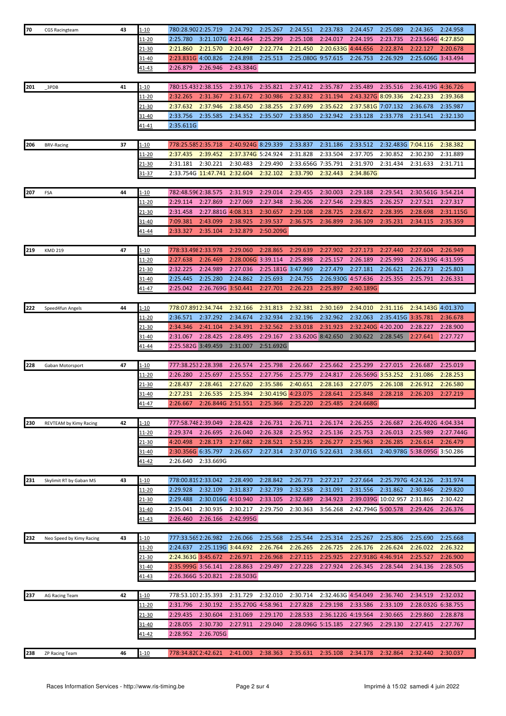| 70  | <b>CGS Racingteam</b>    | 43 | 1-10          | 780:28.9022:25.719           |                    | 2:24.792           | 2:25.267           | 2:24.551           | 2:23.783           | 2:24.457           | 2:25.089                     | 2:24.365                     | 2:24.958  |
|-----|--------------------------|----|---------------|------------------------------|--------------------|--------------------|--------------------|--------------------|--------------------|--------------------|------------------------------|------------------------------|-----------|
|     |                          |    | 11-20         | 2:25.780                     | 3:21.107G 4:21.464 |                    | 2:25.299           | 2:25.108           | 2:24.017           | 2:24.195           | 2:23.735                     | 2:23.564G 4:27.850           |           |
|     |                          |    | 21-30         | 2:21.860                     | 2:21.570           | 2:20.497           | 2:22.774           | 2:21.450           | 2:20.633G 4:44.656 |                    | 2:22.874                     | 2:22.127                     | 2:20.678  |
|     |                          |    | 31-40         | 2:23.831G 4:00.826           |                    | 2:24.898           | 2:25.513           | 2:25.080G 9:57.615 |                    | 2:26.753           | 2:26.929                     | 2:25.606G 3:43.494           |           |
|     |                          |    |               |                              |                    |                    |                    |                    |                    |                    |                              |                              |           |
|     |                          |    | <u>41-43</u>  | 2:26.879                     | 2:26.946           | 2:43.384G          |                    |                    |                    |                    |                              |                              |           |
|     |                          |    |               |                              |                    |                    |                    |                    |                    |                    |                              |                              |           |
| 201 | 3PDB                     | 41 | <u>1-10</u>   | 780:15.4332:38.155           |                    | 2:39.176           | 2:35.821           | 2:37.412           | 2:35.787           | 2:35.489           | 2:35.516                     | 2:36.419G 4:36.726           |           |
|     |                          |    | <u> 11-20</u> | 2:32.265                     | 2:31.367           | 2:31.672           | 2:30.986           | 2:32.832           | 2:31.194           | 2:43.327G 8:09.336 |                              | 2:42.233                     | 2:39.368  |
|     |                          |    | 21-30         | 2:37.632                     | 2:37.946           | 2:38.450           | 2:38.255           | 2:37.699           | 2:35.622           | 2:37.581G 7:07.132 |                              | 2:36.678                     | 2:35.987  |
|     |                          |    | 31-40         | 2:33.756                     | 2:35.585           | 2:34.352           | 2:35.507           | 2:33.850           | 2:32.942           | 2:33.128           | 2:33.778                     | 2:31.541                     | 2:32.130  |
|     |                          |    | 41-41         | 2:35.611G                    |                    |                    |                    |                    |                    |                    |                              |                              |           |
|     |                          |    |               |                              |                    |                    |                    |                    |                    |                    |                              |                              |           |
| 206 | <b>BRV-Racing</b>        | 37 | $1 - 10$      | 778:25.5852:35.718           |                    | 2:40.924G 8:29.339 |                    | 2:33.837           | 2:31.186           | 2:33.512           | 2:32.483G 7:04.116           |                              | 2:38.382  |
|     |                          |    | 11-20         | 2:37.435                     | 2:39.452           | 2:37.374G 5:24.924 |                    | 2:31.828           | 2:33.504           | 2:37.705           | 2:30.852                     | 2:30.230                     | 2:31.889  |
|     |                          |    | 21-30         | 2:31.181                     | 2:30.221           | 2:30.483           | 2:29.490           | 2:33.656G 7:35.791 |                    | 2:31.970           | 2:31.434                     | 2:31.633                     | 2:31.711  |
|     |                          |    | 31-37         | 2:33.754G 11:47.741 2:32.604 |                    |                    | 2:32.102           | 2:33.790           | 2:32.443           | 2:34.867G          |                              |                              |           |
|     |                          |    |               |                              |                    |                    |                    |                    |                    |                    |                              |                              |           |
|     |                          |    |               |                              |                    |                    |                    |                    |                    |                    |                              |                              |           |
| 207 | FSA                      | 44 | $1 - 10$      | 782:48.596 2:38.575          |                    | 2:31.919           | 2:29.014           | 2:29.455           | 2:30.003           | 2:29.188           | 2:29.541                     | 2:30.561G 3:54.214           |           |
|     |                          |    | $11 - 20$     | 2:29.114                     | 2:27.869           | 2:27.069           | 2:27.348           | 2:36.206           | 2:27.546           | 2:29.825           | 2:26.257                     | 2:27.521                     | 2:27.317  |
|     |                          |    | $21 - 30$     | 2:31.458                     | 2:27.881G 4:08.313 |                    | 2:30.657           | 2:29.108           | 2:28.725           | 2:28.672           | 2:28.395                     | 2:28.698                     | 2:31.115G |
|     |                          |    | 31-40         | 7:09.381                     | 2:43.099           | 2:38.925           | 2:39.537           | 2:36.575           | 2:36.899           | 2:36.109           | 2:35.231                     | 2:34.115                     | 2:35.359  |
|     |                          |    | 41-44         | 2:33.327                     | 2:35.104           | 2:32.879           | 2:50.209G          |                    |                    |                    |                              |                              |           |
|     |                          |    |               |                              |                    |                    |                    |                    |                    |                    |                              |                              |           |
| 219 | <b>KMD 219</b>           | 47 | l-10          | 778:33.498 2:33.978          |                    | 2:29.060           | 2:28.865           | 2:29.639           | 2:27.902           | 2:27.173           | 2:27.440                     | 2:27.604                     | 2:26.949  |
|     |                          |    | 11-20         | 2:27.638                     | 2:26.469           | 2:28.006G 3:39.114 |                    | 2:25.898           | 2:25.157           | 2:26.189           | 2:25.993                     | 2:26.319G 4:31.595           |           |
|     |                          |    | 21-30         | 2:32.225                     | 2:24.989           | 2:27.036           | 2:25.181G 3:47.969 |                    | 2:27.479           | 2:27.181           | 2:26.621                     | 2:26.273                     | 2:25.803  |
|     |                          |    |               | 2:25.445                     | 2:25.280           | 2:24.862           | 2:25.693           | 2:24.755           | 2:26.930G 4:57.636 |                    | 2:25.355                     | 2:25.791                     | 2:26.331  |
|     |                          |    | 31-40         |                              |                    |                    |                    |                    |                    |                    |                              |                              |           |
|     |                          |    | 41-47         | 2:25.042                     | 2:26.769G 3:50.441 |                    | 2:27.701           | 2:26.223           | 2:25.897           | 2:40.189G          |                              |                              |           |
|     |                          |    |               |                              |                    |                    |                    |                    |                    |                    |                              |                              |           |
| 222 | Speed4fun Angels         | 44 | $1 - 10$      | 778:07.8912:34.744           |                    | 2:32.166           | 2:31.813           | 2:32.381           | 2:30.169           | 2:34.010           | 2:31.116                     | 2:34.143G 4:01.370           |           |
|     |                          |    | $11 - 20$     | 2:36.571                     | 2:37.292           | 2:34.674           | 2:32.934           | 2:32.196           | 2:32.962           | 2:32.063           | 2:35.415G 3:35.781           |                              | 2:36.678  |
|     |                          |    | 21-30         | 2:34.346                     | 2:41.104           | 2:34.391           | 2:32.562           | 2:33.018           | 2:31.923           | 2:32.240G 4:20.200 |                              | 2:28.227                     | 2:28.900  |
|     |                          |    | $31 - 40$     | 2:31.067                     | 2:28.425           | 2:28.495           | 2:29.167           | 2:33.620G 8:42.650 |                    | 2:30.622           | 2:28.545                     | 2:27.641                     | 2:27.727  |
|     |                          |    |               |                              |                    |                    |                    |                    |                    |                    |                              |                              |           |
|     |                          |    | 41-44         | 2:25.582G 3:49.459           |                    | 2:31.007           | 2:51.692G          |                    |                    |                    |                              |                              |           |
|     |                          |    |               |                              |                    |                    |                    |                    |                    |                    |                              |                              |           |
| 228 |                          | 47 |               | 777:38.2532:28.398           |                    |                    | 2:25.798           |                    | 2:25.662           |                    | 2:27.015                     |                              |           |
|     | Gaban Motorsport         |    | 1-10          |                              |                    | 2:26.574           |                    | 2:26.667           |                    | 2:25.299           |                              | 2:26.687                     | 2:25.019  |
|     |                          |    | 11-20         | 2:26.280                     | 2:25.697           | 2:25.552           | 2:27.756           | 2:25.779           | 2:24.817           | 2:26.569G 3:53.252 |                              | 2:31.086                     | 2:28.253  |
|     |                          |    | $21 - 30$     | 2:28.437                     | 2:28.461           | 2:27.620           | 2:35.586           | 2:40.651           | 2:28.163           | 2:27.075           | 2:26.108                     | 2:26.912                     | 2:26.580  |
|     |                          |    | 31-40         | 2:27.231                     | 2:26.535           | 2:25.394           | 2:30.419G 4:23.075 |                    | 2:28.641           | 2:25.848           | 2:28.218                     | 2:26.203                     | 2:27.219  |
|     |                          |    | 41-47         | 2:26.667                     | 2:26.844G 2:51.551 |                    | 2:25.366           | 2:25.220           | 2:25.485           | 2:24.668G          |                              |                              |           |
|     |                          |    |               |                              |                    |                    |                    |                    |                    |                    |                              |                              |           |
| 230 | REVTEAM by Kimy Racing   | 42 | $1 - 10$      | 777:58.748 2:39.049          |                    | 2:28.428           | 2:26.731           | 2:26.711           | 2:26.174           | 2:26.255           | 2:26.687                     | 2:26.492G 4:04.334           |           |
|     |                          |    | 11-20         | 2:29.374                     | 2:26.695           | 2:26.040           | 2:26.328           | 2:25.952           | 2:25.136           | 2:25.753           | 2:26.013                     | 2:25.989                     | 2:27.744G |
|     |                          |    | 21-30         | 4:20.498                     | 2:28.173           | 2:27.682           | 2:28.521           | 2:53.235           | 2:26.277           | 2:25.963           | 2:26.285                     | 2:26.614                     | 2:26.479  |
|     |                          |    | 31-40         | 2:30.356G 6:35.797           |                    | 2:26.657           | 2:27.314           | 2:37.071G 5:22.631 |                    | 2:38.651           |                              | 2:40.978G 5:38.095G 3:50.286 |           |
|     |                          |    | 41-42         | 2:26.640                     | 2:33.669G          |                    |                    |                    |                    |                    |                              |                              |           |
|     |                          |    |               |                              |                    |                    |                    |                    |                    |                    |                              |                              |           |
|     |                          | 43 |               | 778:00.819 2:33.042          |                    | 2:28.490           | 2:28.842           | 2:26.773           | 2:27.217           | 2:27.664           | 2:25.797G 4:24.126           |                              | 2:31.974  |
| 231 | Skylimit RT by Gaban MS  |    | $1 - 10$      |                              |                    |                    |                    |                    |                    |                    |                              |                              |           |
|     |                          |    | 11-20         | 2:29.928                     | 2:32.109           | 2:31.837           | 2:32.739           | 2:32.358           | 2:31.091           | 2:31.556           | 2:31.862                     | 2:30.846                     | 2:29.820  |
|     |                          |    | <u>21-30</u>  | 2:29.488                     | 2:30.016G 4:10.940 |                    | 2:33.105           | 2:32.689           | 2:34.923           |                    | 2:39.039G 10:02.957 2:31.865 |                              | 2:30.422  |
|     |                          |    | 31-40         | 2:35.041                     | 2:30.935           | 2:30.217           | 2:29.750           | 2:30.363           | 3:56.268           | 2:42.794G 5:00.578 |                              | 2:29.426                     | 2:26.376  |
|     |                          |    | $41 - 43$     | 2:26.460                     | 2:26.166           | 2:42.995G          |                    |                    |                    |                    |                              |                              |           |
|     |                          |    |               |                              |                    |                    |                    |                    |                    |                    |                              |                              |           |
| 232 | Neo Speed by Kimy Racing | 43 | $1 - 10$      | 777:33.565 2:26.982          |                    | 2:26.066           | 2:25.568           | 2:25.544           | 2:25.314           | 2:25.267           | 2:25.806                     | 2:25.690                     | 2:25.668  |
|     |                          |    | 11-20         | 2:24.637                     | 2:25.119G 3:44.692 |                    | 2:26.764           | 2:26.265           | 2:26.725           | 2:26.176           | 2:26.624                     | 2:26.022                     | 2:26.322  |
|     |                          |    | 21-30         | 2:24.363G 3:45.672           |                    | 2:26.971           | 2:26.968           | 2:27.115           | 2:25.925           | 2:27.918G 4:46.914 |                              | 2:25.527                     | 2:26.900  |
|     |                          |    | 1-40          | 2:35.999G 3:56.141           |                    | 2:28.863           | 2:29.497           | 2:27.228           | 2:27.924           | 2:26.345           | 2:28.544                     | 2:34.136                     | 2:28.505  |
|     |                          |    | 41-43         | 2:26.366G 5:20.821           |                    | 2:28.503G          |                    |                    |                    |                    |                              |                              |           |
|     |                          |    |               |                              |                    |                    |                    |                    |                    |                    |                              |                              |           |
|     |                          |    |               |                              |                    |                    |                    |                    |                    |                    |                              |                              |           |
| 237 | AG Racing Team           | 42 | 1-10          | 778:53.1032:35.393           |                    | 2:31.729           | 2:32.010           | 2:30.714           | 2:32.463G 4:54.049 |                    | 2:36.740                     | 2:34.519                     | 2:32.032  |
|     |                          |    | 11-20         | 2:31.796                     | 2:30.192           | 2:35.270G 4:58.961 |                    | 2:27.828           | 2:29.198           | 2:33.586           | 2:33.109                     | 2:28.032G 6:38.755           |           |
|     |                          |    | 21-30         | 2:29.435                     | 2:30.604           | 2:31.069           | 2:29.170           | 2:28.533           | 2:36.122G 4:19.564 |                    | 2:30.665                     | 2:29.860                     | 2:28.878  |
|     |                          |    | 31-40         | 2:28.055                     | 2:30.730           | 2:27.911           | 2:29.040           | 2:28.096G 5:15.185 |                    | 2:27.965           | 2:29.130                     | 2:27.415                     | 2:27.767  |
|     |                          |    | <u>41-42</u>  | 2:28.952                     | 2:26.705G          |                    |                    |                    |                    |                    |                              |                              |           |
|     |                          |    |               |                              |                    |                    |                    |                    |                    |                    |                              |                              |           |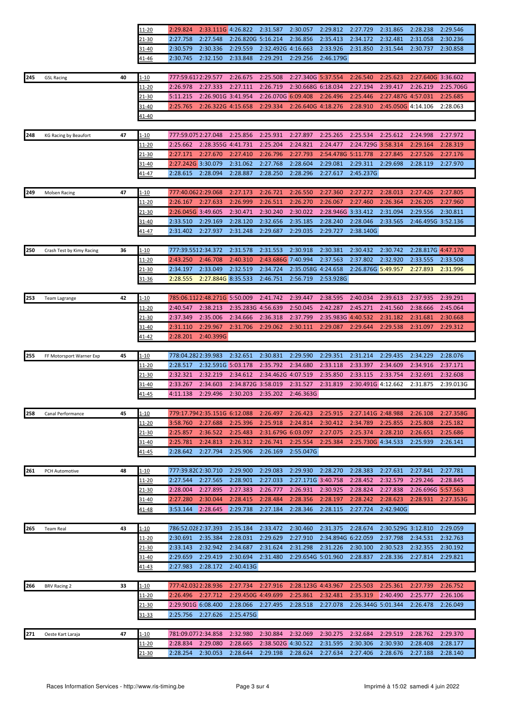|     |                           |    | 11-20         | 2:29.824            | 2:33.111G 4:26.822           |                    | 2:31.587           | 2:30.057           | 2:29.812           | 2:27.729           | 2:31.865           | 2:28.238           | 2:29.546  |
|-----|---------------------------|----|---------------|---------------------|------------------------------|--------------------|--------------------|--------------------|--------------------|--------------------|--------------------|--------------------|-----------|
|     |                           |    | 21-30         | 2:27.758            | 2:27.548                     | 2:26.820G 5:16.214 |                    | 2:36.856           | 2:35.413           | 2:34.172           | 2:32.481           | 2:31.058           | 2:30.236  |
|     |                           |    | 31-40         | 2:30.579            | 2:30.336                     | 2:29.559           | 2:32.492G 4:16.663 |                    | 2:33.926           | 2:31.850           | 2:31.544           | 2:30.737           | 2:30.858  |
|     |                           |    |               | 2:30.745            | 2:32.150                     | 2:33.848           | 2:29.291           | 2:29.256           | 2:46.179G          |                    |                    |                    |           |
|     |                           |    | <u>41-46</u>  |                     |                              |                    |                    |                    |                    |                    |                    |                    |           |
|     |                           |    |               |                     |                              |                    |                    |                    |                    |                    |                    |                    |           |
| 245 | <b>GSL Racing</b>         | 40 | <u>1-10</u>   | 777:59.6172:29.577  |                              | 2:26.675           | 2:25.508           | 2:27.340G 5:37.554 |                    | 2:26.540           | 2:25.623           | 2:27.640G 3:36.602 |           |
|     |                           |    | <u> 11-20</u> | 2:26.978            | 2:27.333                     | 2:27.111           | 2:26.719           | 2:30.668G 6:18.034 |                    | 2:27.194           | 2:39.417           | 2:26.219           | 2:25.706G |
|     |                           |    | <u>21-30</u>  | 5:11.215            | 2:26.901G 3:41.954           |                    | 2:26.070G 6:09.408 |                    | 2:26.496           | 2:25.446           | 2:27.487G 4:57.031 |                    | 2:25.685  |
|     |                           |    | 31-40         | 2:25.765            | 2:26.322G 4:15.658           |                    | 2:29.334           | 2:26.640G 4:18.276 |                    | 2:28.910           | 2:45.050G 4:14.106 |                    | 2:28.063  |
|     |                           |    | 41-40         |                     |                              |                    |                    |                    |                    |                    |                    |                    |           |
|     |                           |    |               |                     |                              |                    |                    |                    |                    |                    |                    |                    |           |
| 248 | KG Racing by Beaufort     | 47 | 1-10          |                     | 777:59.075 2:27.048          | 2:25.856           | 2:25.931           | 2:27.897           | 2:25.265           | 2:25.534           | 2:25.612           | 2:24.998           | 2:27.972  |
|     |                           |    | 11-20         | 2:25.662            | 2:28.355G 4:41.731           |                    | 2:25.204           | 2:24.821           | 2:24.477           | 2:24.729G 3:58.314 |                    | 2:29.164           | 2:28.319  |
|     |                           |    | 21-30         | 2:27.171            | 2:27.670                     | 2:27.410           | 2:26.796           | 2:27.793           | 2:54.478G 5:11.778 |                    | 2:27.845           | 2:27.526           | 2:27.176  |
|     |                           |    |               |                     |                              |                    |                    |                    |                    |                    |                    |                    |           |
|     |                           |    | 31-40         | 2:27.242G 3:30.079  |                              | 2:31.062           | 2:27.768           | 2:28.604           | 2:29.081           | 2:29.311           | 2:29.698           | 2:28.119           | 2:27.970  |
|     |                           |    | 41-47         | 2:28.615            | 2:28.094                     | 2:28.887           | 2:28.250           | 2:28.296           | 2:27.617           | 2:45.237G          |                    |                    |           |
|     |                           |    |               |                     |                              |                    |                    |                    |                    |                    |                    |                    |           |
| 249 | Molsen Racing             | 47 | $1 - 10$      | 777:40.0622:29.068  |                              | 2:27.173           | 2:26.721           | 2:26.550           | 2:27.360           | 2:27.272           | 2:28.013           | 2:27.426           | 2:27.805  |
|     |                           |    | <u> 11-20</u> | 2:26.167            | 2:27.633                     | 2:26.999           | 2:26.511           | 2:26.270           | 2:26.067           | 2:27.460           | 2:26.364           | 2:26.205           | 2:27.960  |
|     |                           |    | <u>21-30</u>  | 2:26.045G 3:49.605  |                              | 2:30.471           | 2:30.240           | 2:30.022           | 2:28.946G 3:33.412 |                    | 2:31.094           | 2:29.556           | 2:30.811  |
|     |                           |    | 31-40         | 2:33.510            | 2:29.169                     | 2:28.120           | 2:32.656           | 2:35.185           | 2:28.240           | 2:28.046           | 2:33.565           | 2:46.495G 3:52.136 |           |
|     |                           |    | 41-47         | 2:31.402            | 2:27.937                     | 2:31.248           | 2:29.687           | 2:29.035           | 2:29.727           | 2:38.140G          |                    |                    |           |
|     |                           |    |               |                     |                              |                    |                    |                    |                    |                    |                    |                    |           |
|     |                           |    |               |                     |                              |                    |                    |                    |                    |                    |                    |                    |           |
| 250 | Crash Test by Kimy Racing | 36 | 1-10          | 777:39.5512:34.372  |                              | 2:31.578           | 2:31.553           | 2:30.918           | 2:30.381           | 2:30.432           | 2:30.742           | 2:28.817G 4:47.170 |           |
|     |                           |    | <u> 11-20</u> | 2:43.250            | 2:46.708                     | 2:40.310           | 2:43.686G 7:40.994 |                    | 2:37.563           | 2:37.802           | 2:32.920           | 2:33.555           | 2:33.508  |
|     |                           |    | 21-30         | 2:34.197            | 2:33.049                     | 2:32.519           | 2:34.724           | 2:35.058G 4:24.658 |                    | 2:26.876G 5:49.957 |                    | 2:27.893           | 2:31.996  |
|     |                           |    | 31-36         | 2:28.555            | 2:27.884G 8:35.533           |                    | 2:46.751           | 2:56.719           | 2:53.928G          |                    |                    |                    |           |
|     |                           |    |               |                     |                              |                    |                    |                    |                    |                    |                    |                    |           |
| 253 | Team Lagrange             | 42 | $1 - 10$      |                     | 785:06.1122:48.271G 5:50.009 |                    | 2:41.742           | 2:39.447           | 2:38.595           | 2:40.034           | 2:39.613           | 2:37.935           | 2:39.291  |
|     |                           |    | <u> 11-20</u> | 2:40.547            | 2:38.213                     | 2:35.283G 4:56.639 |                    | 2:50.045           | 2:42.287           | 2:45.271           | 2:41.560           | 2:38.666           | 2:45.064  |
|     |                           |    | $21 - 30$     | 2:37.349            | 2:35.006                     | 2:34.666           | 2:36.318           | 2:37.799           | 2:35.983G 4:40.532 |                    | 2:31.182           | 2:31.681           | 2:30.668  |
|     |                           |    | 31-40         | 2:31.110            | 2:29.967                     | 2:31.706           | 2:29.062           | 2:30.111           | 2:29.087           | 2:29.644           | 2:29.538           | 2:31.097           | 2:29.312  |
|     |                           |    |               |                     | 2:40.399G                    |                    |                    |                    |                    |                    |                    |                    |           |
|     |                           |    | <u>41-42</u>  | 2:28.201            |                              |                    |                    |                    |                    |                    |                    |                    |           |
|     |                           |    |               |                     |                              |                    |                    |                    |                    |                    |                    |                    |           |
|     |                           |    |               |                     |                              |                    |                    |                    |                    |                    |                    |                    |           |
| 255 | FF Motorsport Warner Exp  | 45 | $1 - 10$      | 778:04.2822:39.983  |                              | 2:32.651           | 2:30.831           | 2:29.590           | 2:29.351           | 2:31.214           | 2:29.435           | 2:34.229           | 2:28.076  |
|     |                           |    | 11-20         | 2:28.517            | 2:32.591G 5:03.178           |                    | 2:35.792           | 2:34.680           | 2:33.118           | 2:33.397           | 2:34.609           | 2:34.916           | 2:37.171  |
|     |                           |    | 21-30         | 2:32.321            | 2:32.219                     | 2:34.612           | 2:34.462G 4:07.519 |                    | 2:35.850           | 2:33.115           | 2:33.754           | 2:32.691           | 2:32.608  |
|     |                           |    | 31-40         | 2:33.267            | 2:34.603                     | 2:34.872G 3:58.019 |                    | 2:31.527           | 2:31.819           | 2:30.491G 4:12.662 |                    | 2:31.875           | 2:39.013G |
|     |                           |    | <u>41-45</u>  | 4:11.138            | 2:29.496                     | 2:30.203           | 2:35.202           | 2:46.363G          |                    |                    |                    |                    |           |
|     |                           |    |               |                     |                              |                    |                    |                    |                    |                    |                    |                    |           |
| 258 | Canal Performance         | 45 | <u>1-10</u>   |                     | 779:17.7942:35.151G 6:12.088 |                    | 2:26.497           | 2:26.423           | 2:25.915           | 2:27.141G 2:48.988 |                    | 2:26.108           | 2:27.358G |
|     |                           |    |               | 3:58.760            |                              | 2:25.396           |                    | 2:24.814           |                    |                    | 2:25.855           |                    |           |
|     |                           |    | <u> 11-20</u> |                     | 2:27.688                     |                    | 2:25.918           |                    | 2:30.412           | 2:34.789           |                    | 2:25.808           | 2:25.182  |
|     |                           |    | 21-30         | 2:25.857            | 2:36.522                     | 2:25.483           | 2:31.679G 6:03.097 |                    | 2:27.075           | 2:25.374           | 2:28.210           | 2:26.651           | 2:25.686  |
|     |                           |    | 31-40         | 2:25.781            | 2:24.813                     | 2:26.312           | 2:26.741           | 2:25.554           | 2:25.384           | 2:25.730G 4:34.533 |                    | 2:25.939           | 2:26.141  |
|     |                           |    | <u>41-45</u>  | 2:28.642            | 2:27.794                     | 2:25.906           | 2:26.169           | 2:55.047G          |                    |                    |                    |                    |           |
|     |                           |    |               |                     |                              |                    |                    |                    |                    |                    |                    |                    |           |
| 261 | PCH Automotive            | 48 | 1-10          | 777:39.820 2:30.710 |                              | 2:29.900           | 2:29.083           | 2:29.930           | 2:28.270           | 2:28.383           | 2:27.631           | 2:27.841           | 2:27.781  |
|     |                           |    | <u> 11-20</u> | 2:27.544            | 2:27.565                     | 2:28.901           | 2:27.033           | 2:27.171G 3:40.758 |                    | 2:28.452           | 2:32.579           | 2:29.246           | 2:28.845  |
|     |                           |    | 21-30         | 2:28.004            | 2:27.895                     | 2:27.383           | 2:26.777           | 2:26.931           | 2:30.925           | 2:28.824           | 2:27.838           | 2:26.696G 5:57.563 |           |
|     |                           |    | 31-40         | 2:27.280            | 2:30.044                     | 2:28.415           | 2:28.484           | 2:28.356           | 2:28.197           | 2:28.242           | 2:28.623           | 2:28.931           | 2:27.353G |
|     |                           |    | 41-48         | 3:53.144            | 2:28.645                     | 2:29.738           | 2:27.184           | 2:28.346           | 2:28.115           | 2:27.724           | 2:42.940G          |                    |           |
|     |                           |    |               |                     |                              |                    |                    |                    |                    |                    |                    |                    |           |
|     |                           |    |               |                     |                              |                    |                    |                    |                    |                    |                    |                    |           |
| 265 | <b>Team Real</b>          | 43 | <u>1-10</u>   | 786:52.028 2:37.393 |                              | 2:35.184           | 2:33.472           | 2:30.460           | 2:31.375           | 2:28.674           | 2:30.529G 3:12.810 |                    | 2:29.059  |
|     |                           |    | 11-20         | 2:30.691            | 2:35.384                     | 2:28.031           | 2:29.629           | 2:27.910           | 2:34.894G 6:22.059 |                    | 2:37.798           | 2:34.531           | 2:32.763  |
|     |                           |    | 21-30         | 2:33.143            | 2:32.942                     | 2:34.687           | 2:31.624           | 2:31.298           | 2:31.226           | 2:30.100           | 2:30.523           | 2:32.355           | 2:30.192  |
|     |                           |    | 31-40         | 2:29.659            | 2:29.419                     | 2:30.694           | 2:31.480           | 2:29.654G 5:01.960 |                    | 2:28.837           | 2:28.336           | 2:27.814           | 2:29.821  |
|     |                           |    | 41-43         | 2:27.983            | 2:28.172                     | 2:40.413G          |                    |                    |                    |                    |                    |                    |           |
|     |                           |    |               |                     |                              |                    |                    |                    |                    |                    |                    |                    |           |
| 266 | <b>BRV Racing 2</b>       | 33 | 1-10          | 777:42.0322:28.936  |                              | 2:27.734           | 2:27.916           | 2:28.123G 4:43.967 |                    | 2:25.503           | 2:25.361           | 2:27.739           | 2:26.752  |
|     |                           |    | 11-20         | 2:26.496            | 2:27.712                     | 2:29.450G 4:49.699 |                    | 2:25.861           | 2:32.481           | 2:35.319           | 2:40.490           | 2:25.777           | 2:26.106  |
|     |                           |    |               |                     |                              |                    |                    |                    |                    |                    |                    |                    |           |
|     |                           |    | $21 - 30$     | 2:29.901G 6:08.400  |                              | 2:28.066           | 2:27.495           | 2:28.518           | 2:27.078           | 2:26.344G 5:01.344 |                    | 2:26.478           | 2:26.049  |
|     |                           |    | $31 - 33$     | 2:25.756            | 2:27.626                     | 2:25.475G          |                    |                    |                    |                    |                    |                    |           |
|     |                           |    |               |                     |                              |                    |                    |                    |                    |                    |                    |                    |           |
| 271 | Oeste Kart Laraja         | 47 | <u>1-10</u>   | 781:09.0772:34.858  |                              | 2:32.980           | 2:30.884           | 2:32.069           | 2:30.275           | 2:32.684           | 2:29.519           | 2:28.762           | 2:29.370  |
|     |                           |    | <u> 11-20</u> | 2:28.834            | 2:29.080                     | 2:28.665           | 2:38.502G 4:30.522 |                    | 2:31.595           | 2:30.306           | 2:30.930           | 2:28.408           | 2:28.177  |